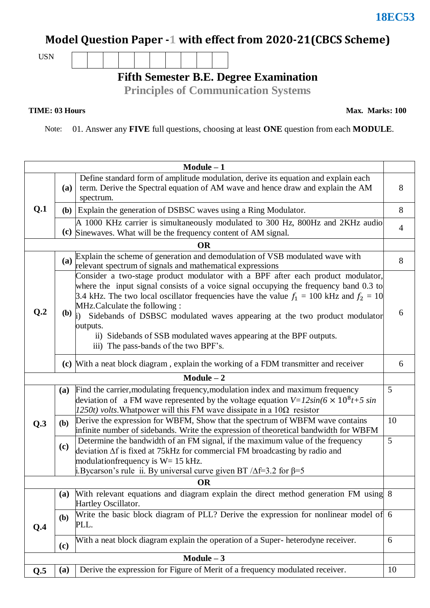### **18EC53**

# **Model Question Paper -1 with effect from 2020-21(CBCS Scheme)**

USN

**Fifth Semester B.E. Degree Examination**

**Principles of Communication Systems**

**TIME: 03 Hours Max. Marks: 100** 

Note: 01. Answer any **FIVE** full questions, choosing at least **ONE** question from each **MODULE**.

| $Module - 1$    |            |                                                                                                                                                                                                                                                                                                                                                                                                                                                                                                                                       |                |  |  |  |  |
|-----------------|------------|---------------------------------------------------------------------------------------------------------------------------------------------------------------------------------------------------------------------------------------------------------------------------------------------------------------------------------------------------------------------------------------------------------------------------------------------------------------------------------------------------------------------------------------|----------------|--|--|--|--|
| Q.1             | (a)        | Define standard form of amplitude modulation, derive its equation and explain each<br>term. Derive the Spectral equation of AM wave and hence draw and explain the AM<br>spectrum.                                                                                                                                                                                                                                                                                                                                                    |                |  |  |  |  |
|                 |            | (b) Explain the generation of DSBSC waves using a Ring Modulator.                                                                                                                                                                                                                                                                                                                                                                                                                                                                     |                |  |  |  |  |
|                 |            | A 1000 KHz carrier is simultaneously modulated to 300 Hz, 800Hz and 2KHz audio<br>(c) Sinewaves. What will be the frequency content of AM signal.                                                                                                                                                                                                                                                                                                                                                                                     | $\overline{4}$ |  |  |  |  |
|                 |            | <b>OR</b>                                                                                                                                                                                                                                                                                                                                                                                                                                                                                                                             |                |  |  |  |  |
| Q <sub>.2</sub> |            | (a) Explain the scheme of generation and demodulation of VSB modulated wave with<br>relevant spectrum of signals and mathematical expressions                                                                                                                                                                                                                                                                                                                                                                                         | 8              |  |  |  |  |
|                 |            | Consider a two-stage product modulator with a BPF after each product modulator,<br>where the input signal consists of a voice signal occupying the frequency band 0.3 to<br>3.4 kHz. The two local oscillator frequencies have the value $f_1 = 100$ kHz and $f_2 = 10$<br>MHz.Calculate the following:<br>(b) $\mathbf{j}$ )<br>Sidebands of DSBSC modulated waves appearing at the two product modulator<br>outputs.<br>ii) Sidebands of SSB modulated waves appearing at the BPF outputs.<br>iii) The pass-bands of the two BPF's. |                |  |  |  |  |
|                 |            | (c) With a neat block diagram, explain the working of a FDM transmitter and receiver                                                                                                                                                                                                                                                                                                                                                                                                                                                  | 6              |  |  |  |  |
|                 |            | $Module - 2$                                                                                                                                                                                                                                                                                                                                                                                                                                                                                                                          |                |  |  |  |  |
| Q.3             | <b>(a)</b> | Find the carrier, modulating frequency, modulation index and maximum frequency<br>5<br>deviation of a FM wave represented by the voltage equation $V = 12\sin(6 \times 10^8 t + 5 \sin$<br>$1250t$ ) volts. Whatpower will this FM wave dissipate in a $10\Omega$ resistor                                                                                                                                                                                                                                                            |                |  |  |  |  |
|                 | (b)        | Derive the expression for WBFM, Show that the spectrum of WBFM wave contains<br>10<br>infinite number of sidebands. Write the expression of theoretical bandwidth for WBFM                                                                                                                                                                                                                                                                                                                                                            |                |  |  |  |  |
|                 | (c)        | 5<br>Determine the bandwidth of an FM signal, if the maximum value of the frequency<br>deviation $\Delta f$ is fixed at 75kHz for commercial FM broadcasting by radio and<br>modulation frequency is $W = 15$ kHz.<br>i. Bycarson's rule ii. By universal curve given BT $\Delta f=3.2$ for $\beta=5$                                                                                                                                                                                                                                 |                |  |  |  |  |
| <b>OR</b>       |            |                                                                                                                                                                                                                                                                                                                                                                                                                                                                                                                                       |                |  |  |  |  |
|                 | (a)        | With relevant equations and diagram explain the direct method generation FM using 8<br>Hartley Oscillator.                                                                                                                                                                                                                                                                                                                                                                                                                            |                |  |  |  |  |
| Q.4             | (b)        | Write the basic block diagram of PLL? Derive the expression for nonlinear model of 6<br>PLL.                                                                                                                                                                                                                                                                                                                                                                                                                                          |                |  |  |  |  |
|                 | (c)        | With a neat block diagram explain the operation of a Super-heterodyne receiver.                                                                                                                                                                                                                                                                                                                                                                                                                                                       | 6              |  |  |  |  |
| $Module - 3$    |            |                                                                                                                                                                                                                                                                                                                                                                                                                                                                                                                                       |                |  |  |  |  |
| Q.5             | (a)        | Derive the expression for Figure of Merit of a frequency modulated receiver.                                                                                                                                                                                                                                                                                                                                                                                                                                                          | 10             |  |  |  |  |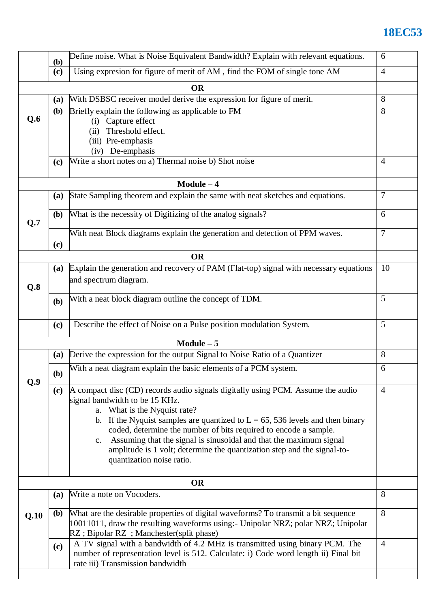## **18EC53**

|      | (b)                                                                              | Define noise. What is Noise Equivalent Bandwidth? Explain with relevant equations.                                                                                                                                                                                                                                                                                                                                                                                                                     | 6              |  |  |  |
|------|----------------------------------------------------------------------------------|--------------------------------------------------------------------------------------------------------------------------------------------------------------------------------------------------------------------------------------------------------------------------------------------------------------------------------------------------------------------------------------------------------------------------------------------------------------------------------------------------------|----------------|--|--|--|
|      | Using expresion for figure of merit of AM, find the FOM of single tone AM<br>(c) |                                                                                                                                                                                                                                                                                                                                                                                                                                                                                                        |                |  |  |  |
|      |                                                                                  | <b>OR</b>                                                                                                                                                                                                                                                                                                                                                                                                                                                                                              |                |  |  |  |
|      | With DSBSC receiver model derive the expression for figure of merit.<br>(a)      |                                                                                                                                                                                                                                                                                                                                                                                                                                                                                                        |                |  |  |  |
| Q.6  | <b>(b)</b>                                                                       | Briefly explain the following as applicable to FM<br>$8\,$<br>(i) Capture effect<br>Threshold effect.<br>(11)<br>(iii) Pre-emphasis<br>(iv) De-emphasis                                                                                                                                                                                                                                                                                                                                                |                |  |  |  |
|      | (c)                                                                              | Write a short notes on a) Thermal noise b) Shot noise<br>$\overline{4}$                                                                                                                                                                                                                                                                                                                                                                                                                                |                |  |  |  |
|      |                                                                                  | $Module - 4$                                                                                                                                                                                                                                                                                                                                                                                                                                                                                           |                |  |  |  |
| Q.7  | (a)                                                                              | State Sampling theorem and explain the same with neat sketches and equations.                                                                                                                                                                                                                                                                                                                                                                                                                          | $\tau$         |  |  |  |
|      | (b)                                                                              | What is the necessity of Digitizing of the analog signals?                                                                                                                                                                                                                                                                                                                                                                                                                                             |                |  |  |  |
|      | (c)                                                                              | With neat Block diagrams explain the generation and detection of PPM waves.                                                                                                                                                                                                                                                                                                                                                                                                                            |                |  |  |  |
|      |                                                                                  | <b>OR</b>                                                                                                                                                                                                                                                                                                                                                                                                                                                                                              |                |  |  |  |
| Q.8  | (a)                                                                              | Explain the generation and recovery of PAM (Flat-top) signal with necessary equations<br>and spectrum diagram.                                                                                                                                                                                                                                                                                                                                                                                         | 10             |  |  |  |
|      | (b)                                                                              | With a neat block diagram outline the concept of TDM.                                                                                                                                                                                                                                                                                                                                                                                                                                                  | 5              |  |  |  |
|      | (c)                                                                              | Describe the effect of Noise on a Pulse position modulation System.                                                                                                                                                                                                                                                                                                                                                                                                                                    | 5              |  |  |  |
|      |                                                                                  | Module $-5$                                                                                                                                                                                                                                                                                                                                                                                                                                                                                            |                |  |  |  |
|      | <b>(a)</b>                                                                       | Derive the expression for the output Signal to Noise Ratio of a Quantizer                                                                                                                                                                                                                                                                                                                                                                                                                              | 8              |  |  |  |
| Q.9  | (b)                                                                              | With a neat diagram explain the basic elements of a PCM system.                                                                                                                                                                                                                                                                                                                                                                                                                                        |                |  |  |  |
|      | (c)                                                                              | A compact disc (CD) records audio signals digitally using PCM. Assume the audio<br>signal bandwidth to be 15 KHz.<br>a. What is the Nyquist rate?<br>b. If the Nyquist samples are quantized to $L = 65$ , 536 levels and then binary<br>coded, determine the number of bits required to encode a sample.<br>Assuming that the signal is sinusoidal and that the maximum signal<br>$c_{\cdot}$<br>amplitude is 1 volt; determine the quantization step and the signal-to-<br>quantization noise ratio. |                |  |  |  |
|      |                                                                                  | <b>OR</b>                                                                                                                                                                                                                                                                                                                                                                                                                                                                                              |                |  |  |  |
|      | (a)                                                                              | Write a note on Vocoders.                                                                                                                                                                                                                                                                                                                                                                                                                                                                              | 8              |  |  |  |
| Q.10 | ( <b>b</b> )                                                                     | What are the desirable properties of digital waveforms? To transmit a bit sequence<br>10011011, draw the resulting waveforms using:- Unipolar NRZ; polar NRZ; Unipolar<br>RZ ; Bipolar RZ ; Manchester(split phase)                                                                                                                                                                                                                                                                                    |                |  |  |  |
|      | (c)                                                                              | A TV signal with a bandwidth of 4.2 MHz is transmitted using binary PCM. The<br>number of representation level is 512. Calculate: i) Code word length ii) Final bit<br>rate iii) Transmission bandwidth                                                                                                                                                                                                                                                                                                | $\overline{4}$ |  |  |  |
|      |                                                                                  |                                                                                                                                                                                                                                                                                                                                                                                                                                                                                                        |                |  |  |  |